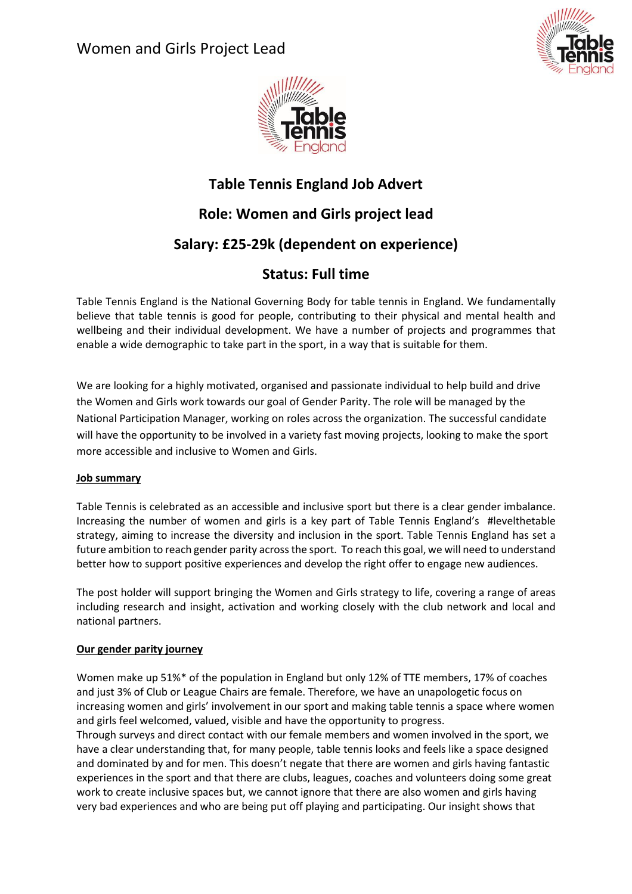Women and Girls Project Lead





# **Table Tennis England Job Advert Role: Women and Girls project lead**

## **Salary: £25-29k (dependent on experience)**

## **Status: Full time**

Table Tennis England is the National Governing Body for table tennis in England. We fundamentally believe that table tennis is good for people, contributing to their physical and mental health and wellbeing and their individual development. We have a number of projects and programmes that enable a wide demographic to take part in the sport, in a way that is suitable for them.

We are looking for a highly motivated, organised and passionate individual to help build and drive the Women and Girls work towards our goal of Gender Parity. The role will be managed by the National Participation Manager, working on roles across the organization. The successful candidate will have the opportunity to be involved in a variety fast moving projects, looking to make the sport more accessible and inclusive to Women and Girls.

### **Job summary**

Table Tennis is celebrated as an accessible and inclusive sport but there is a clear gender imbalance. Increasing the number of women and girls is a key part of Table Tennis England's #levelthetable strategy, aiming to increase the diversity and inclusion in the sport. Table Tennis England has set a future ambition to reach gender parity acrossthe sport. To reach this goal, we will need to understand better how to support positive experiences and develop the right offer to engage new audiences.

The post holder will support bringing the Women and Girls strategy to life, covering a range of areas including research and insight, activation and working closely with the club network and local and national partners.

### **Our gender parity journey**

Women make up 51%\* of the population in England but only 12% of TTE members, 17% of coaches and just 3% of Club or League Chairs are female. Therefore, we have an unapologetic focus on increasing women and girls' involvement in our sport and making table tennis a space where women and girls feel welcomed, valued, visible and have the opportunity to progress.

Through surveys and direct contact with our female members and women involved in the sport, we have a clear understanding that, for many people, table tennis looks and feels like a space designed and dominated by and for men. This doesn't negate that there are women and girls having fantastic experiences in the sport and that there are clubs, leagues, coaches and volunteers doing some great work to create inclusive spaces but, we cannot ignore that there are also women and girls having very bad experiences and who are being put off playing and participating. Our insight shows that